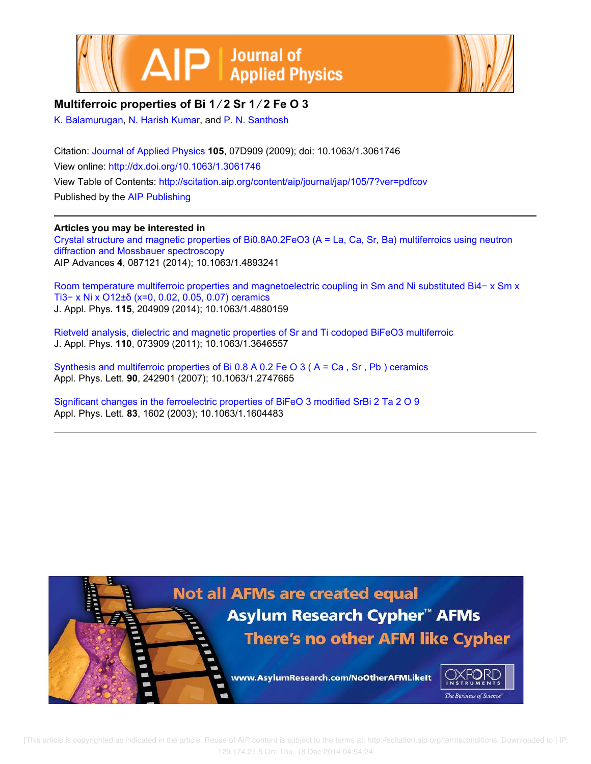



## **Multiferroic properties of Bi 1 ∕ 2 Sr 1 ∕ 2 Fe O 3**

K. Balamurugan, N. Harish Kumar, and P. N. Santhosh

Citation: Journal of Applied Physics **105**, 07D909 (2009); doi: 10.1063/1.3061746 View online: http://dx.doi.org/10.1063/1.3061746 View Table of Contents: http://scitation.aip.org/content/aip/journal/jap/105/7?ver=pdfcov Published by the AIP Publishing

## **Articles you may be interested in**

Crystal structure and magnetic properties of Bi0.8A0.2FeO3 (A = La, Ca, Sr, Ba) multiferroics using neutron diffraction and Mossbauer spectroscopy AIP Advances **4**, 087121 (2014); 10.1063/1.4893241

Room temperature multiferroic properties and magnetoelectric coupling in Sm and Ni substituted Bi4− x Sm x Ti3− x Ni x O12±δ (x=0, 0.02, 0.05, 0.07) ceramics J. Appl. Phys. **115**, 204909 (2014); 10.1063/1.4880159

Rietveld analysis, dielectric and magnetic properties of Sr and Ti codoped BiFeO3 multiferroic J. Appl. Phys. **110**, 073909 (2011); 10.1063/1.3646557

Synthesis and multiferroic properties of Bi 0.8 A 0.2 Fe O 3 ( A = Ca , Sr , Pb ) ceramics Appl. Phys. Lett. **90**, 242901 (2007); 10.1063/1.2747665

Significant changes in the ferroelectric properties of BiFeO 3 modified SrBi 2 Ta 2 O 9 Appl. Phys. Lett. **83**, 1602 (2003); 10.1063/1.1604483

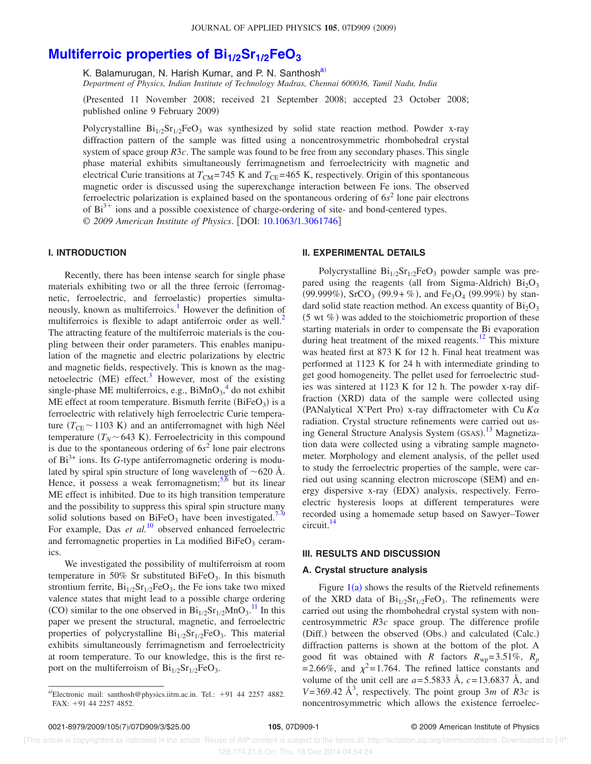# **Multiferroic properties of Bi1/2Sr1/2FeO<sup>3</sup>**

K. Balamurugan, N. Harish Kumar, and P. N. Santhosh<sup>a)</sup>

*Department of Physics, Indian Institute of Technology Madras, Chennai 600036, Tamil Nadu, India*

Presented 11 November 2008; received 21 September 2008; accepted 23 October 2008; published online 9 February 2009)

Polycrystalline  $Bi_{1/2}Sr_{1/2}FeO_3$  was synthesized by solid state reaction method. Powder x-ray diffraction pattern of the sample was fitted using a noncentrosymmetric rhombohedral crystal system of space group *R*3*c*. The sample was found to be free from any secondary phases. This single phase material exhibits simultaneously ferrimagnetism and ferroelectricity with magnetic and electrical Curie transitions at  $T_{\text{CM}}$ =745 K and  $T_{\text{CE}}$ =465 K, respectively. Origin of this spontaneous magnetic order is discussed using the superexchange interaction between Fe ions. The observed ferroelectric polarization is explained based on the spontaneous ordering of 6*s* 2 lone pair electrons of  $Bi<sup>3+</sup>$  ions and a possible coexistence of charge-ordering of site- and bond-centered types. © 2009 American Institute of Physics. [DOI: 10.1063/1.3061746]

## **I. INTRODUCTION**

Recently, there has been intense search for single phase materials exhibiting two or all the three ferroic (ferromagnetic, ferroelectric, and ferroelastic) properties simultaneously, known as multiferroics.<sup>1</sup> However the definition of multiferroics is flexible to adapt antiferroic order as well.<sup>2</sup> The attracting feature of the multiferroic materials is the coupling between their order parameters. This enables manipulation of the magnetic and electric polarizations by electric and magnetic fields, respectively. This is known as the magnetoelectric (ME) effect.<sup>3</sup> However, most of the existing single-phase ME multiferroics, e.g.,  $\text{BiMnO}_3^4$  do not exhibit ME effect at room temperature. Bismuth ferrite  $(BiFeO<sub>3</sub>)$  is a ferroelectric with relatively high ferroelectric Curie temperature  $(T_{\text{CE}} \sim 1103 \text{ K})$  and an antiferromagnet with high Néel temperature  $(T_N \sim 643 \text{ K})$ . Ferroelectricity in this compound is due to the spontaneous ordering of  $6s<sup>2</sup>$  lone pair electrons of Bi3+ ions. Its *G*-type antiferromagnetic ordering is modulated by spiral spin structure of long wavelength of  $\sim$  620 Å. Hence, it possess a weak ferromagnetism;  $5,6$  but its linear ME effect is inhibited. Due to its high transition temperature and the possibility to suppress this spiral spin structure many solid solutions based on BiFeO<sub>3</sub> have been investigated.<sup>7–9</sup> For example, Das et al.<sup>10</sup> observed enhanced ferroelectric and ferromagnetic properties in La modified  $BiFeO<sub>3</sub>$  ceramics.

We investigated the possibility of multiferroism at room temperature in 50% Sr substituted BiFeO<sub>3</sub>. In this bismuth strontium ferrite,  $Bi_{1/2}Sr_{1/2}FeO_3$ , the Fe ions take two mixed valence states that might lead to a possible charge ordering (CO) similar to the one observed in  $Bi_{1/2}Sr_{1/2}MnO_3$ .<sup>11</sup> In this paper we present the structural, magnetic, and ferroelectric properties of polycrystalline  $Bi_{1/2}Sr_{1/2}FeO_3$ . This material exhibits simultaneously ferrimagnetism and ferroelectricity at room temperature. To our knowledge, this is the first report on the multiferroism of  $Bi_{1/2}Sr_{1/2}FeO_3$ .

## **II. EXPERIMENTAL DETAILS**

Polycrystalline  $Bi_{1/2}Sr_{1/2}FeO_3$  powder sample was prepared using the reagents (all from Sigma-Aldrich)  $Bi<sub>2</sub>O<sub>3</sub>$ (99.999%), SrCO<sub>3</sub> (99.9+%), and Fe<sub>3</sub>O<sub>4</sub> (99.99%) by standard solid state reaction method. An excess quantity of  $Bi<sub>2</sub>O<sub>3</sub>$  $(5 \text{ wt } \%)$  was added to the stoichiometric proportion of these starting materials in order to compensate the Bi evaporation during heat treatment of the mixed reagents.<sup>12</sup> This mixture was heated first at 873 K for 12 h. Final heat treatment was performed at 1123 K for 24 h with intermediate grinding to get good homogeneity. The pellet used for ferroelectric studies was sintered at 1123 K for 12 h. The powder x-ray diffraction (XRD) data of the sample were collected using (PANalytical X'Pert Pro) x-ray diffractometer with Cu  $K\alpha$ radiation. Crystal structure refinements were carried out using General Structure Analysis System (GSAS).<sup>13</sup> Magnetization data were collected using a vibrating sample magnetometer. Morphology and element analysis, of the pellet used to study the ferroelectric properties of the sample, were carried out using scanning electron microscope (SEM) and energy dispersive x-ray (EDX) analysis, respectively. Ferroelectric hysteresis loops at different temperatures were recorded using a homemade setup based on Sawyer–Tower circuit.<sup>14</sup>

## **III. RESULTS AND DISCUSSION**

#### **A. Crystal structure analysis**

Figure  $1(a)$  shows the results of the Rietveld refinements of the XRD data of  $Bi_{1/2}Sr_{1/2}FeO_3$ . The refinements were carried out using the rhombohedral crystal system with noncentrosymmetric *R*3*c* space group. The difference profile (Diff.) between the observed (Obs.) and calculated (Calc.) diffraction patterns is shown at the bottom of the plot. A good fit was obtained with *R* factors  $R_{wp} = 3.51\%$ ,  $R_p$ =2.66%, and  $\chi^2$ =1.764. The refined lattice constants and volume of the unit cell are  $a=5.5833 \text{ Å}$ ,  $c=13.6837 \text{ Å}$ , and  $V=369.42 \text{ Å}^3$ , respectively. The point group 3*m* of *R*3*c* is noncentrosymmetric which allows the existence ferroelec-

a)Electronic mail: santhosh@physics.iitm.ac.in. Tel.: +91 44 2257 4882.  $FAX: +914422574852$ 

 <sup>[</sup>This article is copyrighted as indicated in the article. Reuse of AIP content is subject to the terms at: http://scitation.aip.org/termsconditions. Downloaded to ] IP: 129.174.21.5 On: Thu, 18 Dec 2014 04:54:24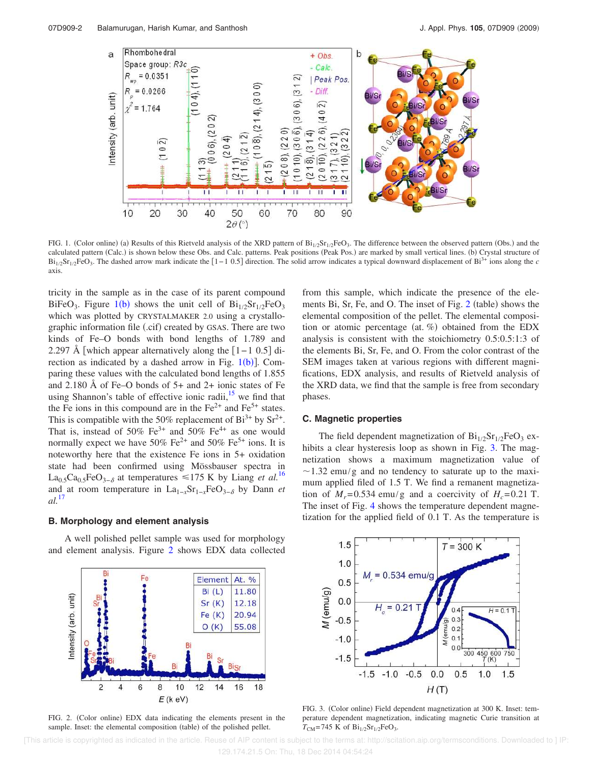

FIG. 1. (Color online) (a) Results of this Rietveld analysis of the XRD pattern of  $Bi_{1/2}Sr_{1/2}FeO_3$ . The difference between the observed pattern (Obs.) and the calculated pattern (Calc.) is shown below these Obs. and Calc. patterns. Peak positions (Peak Pos.) are marked by small vertical lines. (b) Crystal structure of  $Bi_{1/2}Sr_{1/2}FeO_3$ . The dashed arrow mark indicate the [1-1 0.5] direction. The solid arrow indicates a typical downward displacement of Bi<sup>3+</sup> ions along the *c* axis.

tricity in the sample as in the case of its parent compound BiFeO<sub>3</sub>. Figure 1(b) shows the unit cell of  $Bi_{1/2}Sr_{1/2}FeO_3$ which was plotted by CRYSTALMAKER 2.0 using a crystallographic information file (.cif) created by GSAS. There are two kinds of Fe–O bonds with bond lengths of 1.789 and 2.297 Å [which appear alternatively along the  $[1-1 \ 0.5]$  direction as indicated by a dashed arrow in Fig.  $1(b)$ ]. Comparing these values with the calculated bond lengths of 1.855 and 2.180 Å of Fe–O bonds of 5+ and 2+ ionic states of Fe using Shannon's table of effective ionic radii, $15$  we find that the Fe ions in this compound are in the  $Fe^{2+}$  and  $Fe^{5+}$  states. This is compatible with the 50% replacement of  $Bi^{3+}$  by  $Sr^{2+}$ . That is, instead of 50%  $Fe^{3+}$  and 50%  $Fe^{4+}$  as one would normally expect we have 50% Fe<sup>2+</sup> and 50% Fe<sup>5+</sup> ions. It is noteworthy here that the existence Fe ions in 5+ oxidation state had been confirmed using Mössbauser spectra in La<sub>0.5</sub>Ca<sub>0.5</sub>FeO<sub>3−</sub> at temperatures ≤175 K by Liang *et al.*<sup>16</sup> and at room temperature in  $La_{1-x}Sr_{1-x}FeO_{3-\delta}$  by Dann *et al.*<sup>17</sup>

## **B. Morphology and element analysis**

A well polished pellet sample was used for morphology and element analysis. Figure 2 shows EDX data collected



FIG. 2. (Color online) EDX data indicating the elements present in the sample. Inset: the elemental composition (table) of the polished pellet.

from this sample, which indicate the presence of the elements Bi, Sr, Fe, and O. The inset of Fig.  $2$  (table) shows the elemental composition of the pellet. The elemental composition or atomic percentage (at. %) obtained from the EDX analysis is consistent with the stoichiometry 0.5:0.5:1:3 of the elements Bi, Sr, Fe, and O. From the color contrast of the SEM images taken at various regions with different magnifications, EDX analysis, and results of Rietveld analysis of the XRD data, we find that the sample is free from secondary phases.

## **C. Magnetic properties**

The field dependent magnetization of  $Bi_{1/2}Sr_{1/2}FeO_3$  exhibits a clear hysteresis loop as shown in Fig. 3. The magnetization shows a maximum magnetization value of  $\sim$ 1.32 emu/g and no tendency to saturate up to the maximum applied filed of 1.5 T. We find a remanent magnetization of  $M_r = 0.534$  emu/g and a coercivity of  $H_c = 0.21$  T. The inset of Fig. 4 shows the temperature dependent magnetization for the applied field of 0.1 T. As the temperature is



FIG. 3. (Color online) Field dependent magnetization at 300 K. Inset: temperature dependent magnetization, indicating magnetic Curie transition at  $T_{CM}$ =745 K of  $Bi_{1/2}Sr_{1/2}FeO_3$ .

 [This article is copyrighted as indicated in the article. Reuse of AIP content is subject to the terms at: http://scitation.aip.org/termsconditions. Downloaded to ] IP: 129.174.21.5 On: Thu, 18 Dec 2014 04:54:24